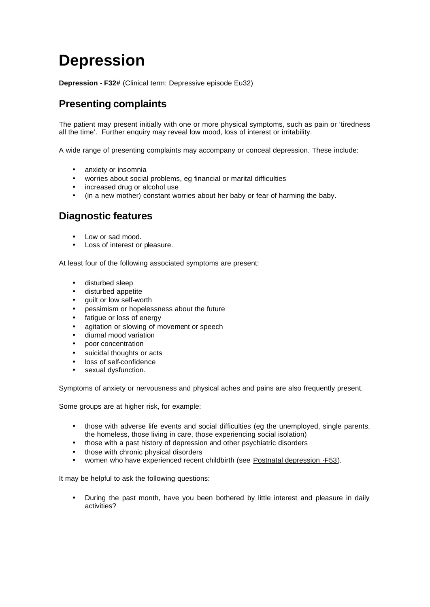# **Depression**

**Depression - F32#** (Clinical term: Depressive episode Eu32)

# **Presenting complaints**

The patient may present initially with one or more physical symptoms, such as pain or 'tiredness all the time'. Further enquiry may reveal low mood, loss of interest or irritability.

A wide range of presenting complaints may accompany or conceal depression. These include:

- anxiety or insomnia
- worries about social problems, eg financial or marital difficulties
- increased drug or alcohol use
- (in a new mother) constant worries about her baby or fear of harming the baby.

### **Diagnostic features**

- Low or sad mood.
- Loss of interest or pleasure.

At least four of the following associated symptoms are present:

- disturbed sleep
- disturbed appetite
- guilt or low self-worth
- pessimism or hopelessness about the future
- fatique or loss of energy
- agitation or slowing of movement or speech
- diurnal mood variation
- poor concentration
- suicidal thoughts or acts
- loss of self-confidence
- sexual dysfunction.

Symptoms of anxiety or nervousness and physical aches and pains are also frequently present.

Some groups are at higher risk, for example:

- those with adverse life events and social difficulties (eg the unemployed, single parents, the homeless, those living in care, those experiencing social isolation)
- those with a past history of depression and other psychiatric disorders
- those with chronic physical disorders
- women who have experienced recent childbirth (see Postnatal depression -F53).

It may be helpful to ask the following questions:

• During the past month, have you been bothered by little interest and pleasure in daily activities?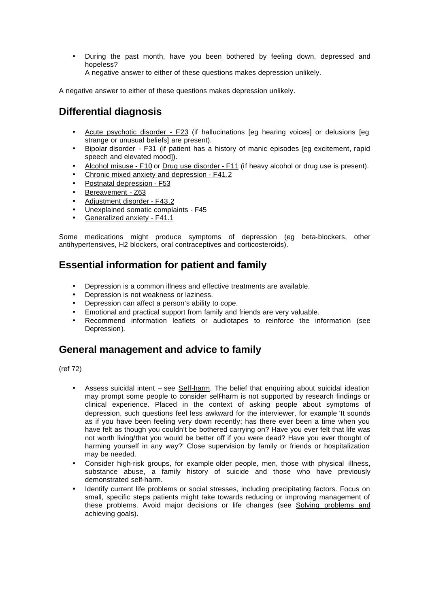• During the past month, have you been bothered by feeling down, depressed and hopeless? A negative answer to either of these questions makes depression unlikely.

A negative answer to either of these questions makes depression unlikely.

## **Differential diagnosis**

- Acute psychotic disorder F23 (if hallucinations [eg hearing voices] or delusions [eg strange or unusual beliefs] are present).
- Bipolar disorder F31 (if patient has a history of manic episodes [eg excitement, rapid speech and elevated mood]).
- Alcohol misuse F10 or Drug use disorder F11 (if heavy alcohol or drug use is present).
- Chronic mixed anxiety and depression F41.2
- Postnatal depression F53
- Bereavement Z63
- Adjustment disorder F43.2
- Unexplained somatic complaints F45
- Generalized anxiety F41.1

Some medications might produce symptoms of depression (eg beta-blockers, other antihypertensives, H2 blockers, oral contraceptives and corticosteroids).

### **Essential information for patient and family**

- Depression is a common illness and effective treatments are available.
- Depression is not weakness or laziness.
- Depression can affect a person's ability to cope.
- Emotional and practical support from family and friends are very valuable.
- Recommend information leaflets or audiotapes to reinforce the information (see Depression).

### **General management and advice to family**

(ref 72)

- Assess suicidal intent see Self-harm. The belief that enquiring about suicidal ideation may prompt some people to consider self-harm is not supported by research findings or clinical experience. Placed in the context of asking people about symptoms of depression, such questions feel less awkward for the interviewer, for example 'It sounds as if you have been feeling very down recently; has there ever been a time when you have felt as though you couldn't be bothered carrying on? Have you ever felt that life was not worth living/that you would be better off if you were dead? Have you ever thought of harming yourself in any way?' Close supervision by family or friends or hospitalization may be needed.
- Consider high-risk groups, for example older people, men, those with physical illness, substance abuse, a family history of suicide and those who have previously demonstrated self-harm.
- Identify current life problems or social stresses, including precipitating factors. Focus on small, specific steps patients might take towards reducing or improving management of these problems. Avoid major decisions or life changes (see Solving problems and achieving goals).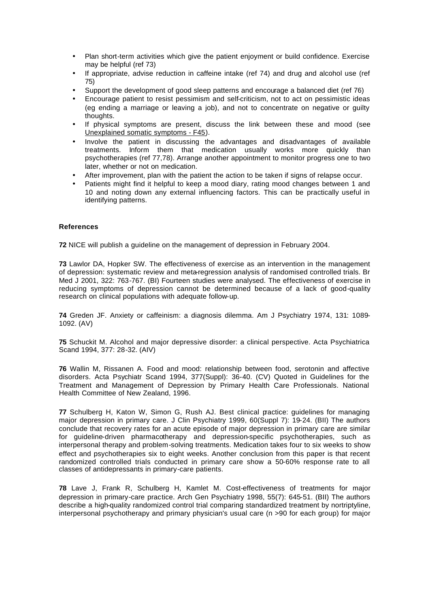- Plan short-term activities which give the patient enjoyment or build confidence. Exercise may be helpful (ref 73)
- If appropriate, advise reduction in caffeine intake (ref 74) and drug and alcohol use (ref 75)
- Support the development of good sleep patterns and encourage a balanced diet (ref 76)
- Encourage patient to resist pessimism and self-criticism, not to act on pessimistic ideas (eg ending a marriage or leaving a job), and not to concentrate on negative or guilty thoughts.
- If physical symptoms are present, discuss the link between these and mood (see Unexplained somatic symptoms - F45).
- Involve the patient in discussing the advantages and disadvantages of available treatments. Inform them that medication usually works more quickly than psychotherapies (ref 77,78). Arrange another appointment to monitor progress one to two later, whether or not on medication.
- After improvement, plan with the patient the action to be taken if signs of relapse occur.
- Patients might find it helpful to keep a mood diary, rating mood changes between 1 and 10 and noting down any external influencing factors. This can be practically useful in identifying patterns.

#### **References**

**72** NICE will publish a guideline on the management of depression in February 2004.

**73** Lawlor DA, Hopker SW. The effectiveness of exercise as an intervention in the management of depression: systematic review and meta-regression analysis of randomised controlled trials. Br Med J 2001, 322: 763-767. (BI) Fourteen studies were analysed. The effectiveness of exercise in reducing symptoms of depression cannot be determined because of a lack of good-quality research on clinical populations with adequate follow-up.

**74** Greden JF. Anxiety or caffeinism: a diagnosis dilemma. Am J Psychiatry 1974, 131: 1089- 1092. (AV)

**75** Schuckit M. Alcohol and major depressive disorder: a clinical perspective. Acta Psychiatrica Scand 1994, 377: 28-32. (AIV)

**76** Wallin M, Rissanen A. Food and mood: relationship between food, serotonin and affective disorders. Acta Psychiatr Scand 1994, 377(Suppl): 36-40. (CV) Quoted in Guidelines for the Treatment and Management of Depression by Primary Health Care Professionals. National Health Committee of New Zealand, 1996.

**77** Schulberg H, Katon W, Simon G, Rush AJ. Best clinical practice: guidelines for managing major depression in primary care. J Clin Psychiatry 1999, 60(Suppl 7): 19-24. (BII) The authors conclude that recovery rates for an acute episode of major depression in primary care are similar for guideline-driven pharmacotherapy and depression-specific psychotherapies, such as interpersonal therapy and problem-solving treatments. Medication takes four to six weeks to show effect and psychotherapies six to eight weeks. Another conclusion from this paper is that recent randomized controlled trials conducted in primary care show a 50-60% response rate to all classes of antidepressants in primary-care patients.

**78** Lave J, Frank R, Schulberg H, Kamlet M. Cost-effectiveness of treatments for major depression in primary-care practice. Arch Gen Psychiatry 1998, 55(7): 645-51. (BII) The authors describe a high-quality randomized control trial comparing standardized treatment by nortriptyline, interpersonal psychotherapy and primary physician's usual care (n >90 for each group) for major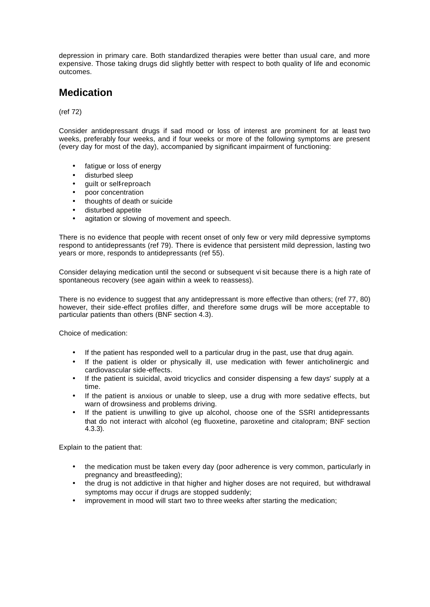depression in primary care. Both standardized therapies were better than usual care, and more expensive. Those taking drugs did slightly better with respect to both quality of life and economic outcomes.

### **Medication**

(ref 72)

Consider antidepressant drugs if sad mood or loss of interest are prominent for at least two weeks, preferably four weeks, and if four weeks or more of the following symptoms are present (every day for most of the day), accompanied by significant impairment of functioning:

- fatigue or loss of energy
- disturbed sleep
- guilt or self-reproach
- poor concentration
- thoughts of death or suicide
- disturbed appetite
- agitation or slowing of movement and speech.

There is no evidence that people with recent onset of only few or very mild depressive symptoms respond to antidepressants (ref 79). There is evidence that persistent mild depression, lasting two years or more, responds to antidepressants (ref 55).

Consider delaying medication until the second or subsequent vi sit because there is a high rate of spontaneous recovery (see again within a week to reassess).

There is no evidence to suggest that any antidepressant is more effective than others; (ref 77, 80) however, their side-effect profiles differ, and therefore some drugs will be more acceptable to particular patients than others (BNF section 4.3).

Choice of medication:

- If the patient has responded well to a particular drug in the past, use that drug again.
- If the patient is older or physically ill, use medication with fewer anticholinergic and cardiovascular side-effects.
- If the patient is suicidal, avoid tricyclics and consider dispensing a few days' supply at a time.
- If the patient is anxious or unable to sleep, use a drug with more sedative effects, but warn of drowsiness and problems driving.
- If the patient is unwilling to give up alcohol, choose one of the SSRI antidepressants that do not interact with alcohol (eg fluoxetine, paroxetine and citalopram; BNF section 4.3.3).

Explain to the patient that:

- the medication must be taken every day (poor adherence is very common, particularly in pregnancy and breastfeeding);
- the drug is not addictive in that higher and higher doses are not required, but withdrawal symptoms may occur if drugs are stopped suddenly;
- improvement in mood will start two to three weeks after starting the medication;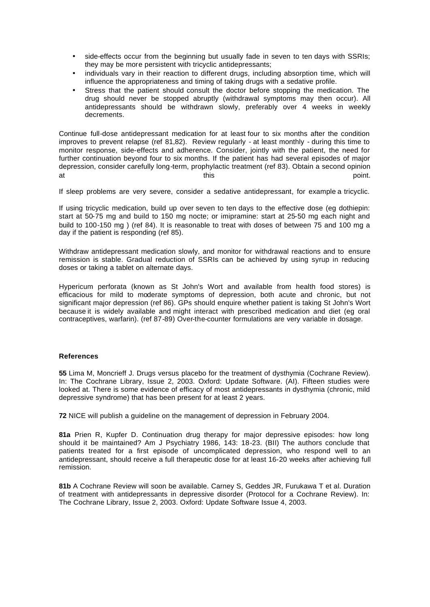- side-effects occur from the beginning but usually fade in seven to ten days with SSRIs; they may be more persistent with tricyclic antidepressants;
- individuals vary in their reaction to different drugs, including absorption time, which will influence the appropriateness and timing of taking drugs with a sedative profile.
- Stress that the patient should consult the doctor before stopping the medication. The drug should never be stopped abruptly (withdrawal symptoms may then occur). All antidepressants should be withdrawn slowly, preferably over 4 weeks in weekly decrements.

Continue full-dose antidepressant medication for at least four to six months after the condition improves to prevent relapse (ref 81,82). Review regularly - at least monthly - during this time to monitor response, side-effects and adherence. Consider, jointly with the patient, the need for further continuation beyond four to six months. If the patient has had several episodes of major depression, consider carefully long-term, prophylactic treatment (ref 83). Obtain a second opinion at this point. This point at this point.

If sleep problems are very severe, consider a sedative antidepressant, for example a tricyclic.

If using tricyclic medication, build up over seven to ten days to the effective dose (eg dothiepin: start at 50-75 mg and build to 150 mg nocte; or imipramine: start at 25-50 mg each night and build to 100-150 mg ) (ref 84). It is reasonable to treat with doses of between 75 and 100 mg a day if the patient is responding (ref 85).

Withdraw antidepressant medication slowly, and monitor for withdrawal reactions and to ensure remission is stable. Gradual reduction of SSRIs can be achieved by using syrup in reducing doses or taking a tablet on alternate days.

Hypericum perforata (known as St John's Wort and available from health food stores) is efficacious for mild to moderate symptoms of depression, both acute and chronic, but not significant major depression (ref 86). GPs should enquire whether patient is taking St John's Wort because it is widely available and might interact with prescribed medication and diet (eg oral contraceptives, warfarin). (ref 87-89) Over-the-counter formulations are very variable in dosage.

#### **References**

**55** Lima M, Moncrieff J. Drugs versus placebo for the treatment of dysthymia (Cochrane Review). In: The Cochrane Library, Issue 2, 2003. Oxford: Update Software. (AI). Fifteen studies were looked at. There is some evidence of efficacy of most antidepressants in dysthymia (chronic, mild depressive syndrome) that has been present for at least 2 years.

**72** NICE will publish a guideline on the management of depression in February 2004.

**81a** Prien R, Kupfer D. Continuation drug therapy for major depressive episodes: how long should it be maintained? Am J Psychiatry 1986, 143: 18-23. (BII) The authors conclude that patients treated for a first episode of uncomplicated depression, who respond well to an antidepressant, should receive a full therapeutic dose for at least 16-20 weeks after achieving full remission.

**81b** A Cochrane Review will soon be available. Carney S, Geddes JR, Furukawa T et al. Duration of treatment with antidepressants in depressive disorder (Protocol for a Cochrane Review). In: The Cochrane Library, Issue 2, 2003. Oxford: Update Software Issue 4, 2003.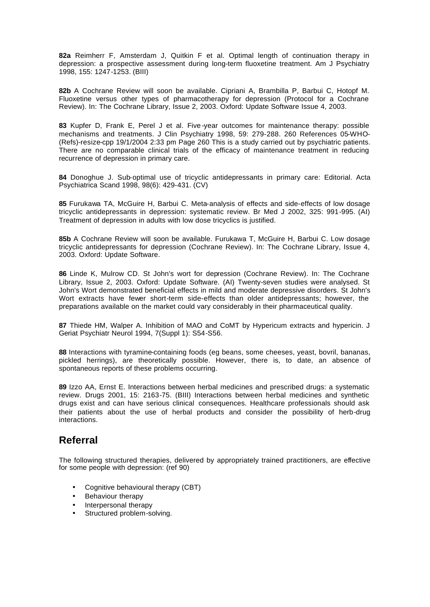**82a** Reimherr F, Amsterdam J, Quitkin F et al. Optimal length of continuation therapy in depression: a prospective assessment during long-term fluoxetine treatment. Am J Psychiatry 1998, 155: 1247-1253. (BIII)

**82b** A Cochrane Review will soon be available. Cipriani A, Brambilla P, Barbui C, Hotopf M. Fluoxetine versus other types of pharmacotherapy for depression (Protocol for a Cochrane Review). In: The Cochrane Library, Issue 2, 2003. Oxford: Update Software Issue 4, 2003.

**83** Kupfer D, Frank E, Perel J et al. Five -year outcomes for maintenance therapy: possible mechanisms and treatments. J Clin Psychiatry 1998, 59: 279-288. 260 References 05-WHO- (Refs)-resize-cpp 19/1/2004 2:33 pm Page 260 This is a study carried out by psychiatric patients. There are no comparable clinical trials of the efficacy of maintenance treatment in reducing recurrence of depression in primary care.

**84** Donoghue J. Sub-optimal use of tricyclic antidepressants in primary care: Editorial. Acta Psychiatrica Scand 1998, 98(6): 429-431. (CV)

**85** Furukawa TA, McGuire H, Barbui C. Meta-analysis of effects and side-effects of low dosage tricyclic antidepressants in depression: systematic review. Br Med J 2002, 325: 991-995. (AI) Treatment of depression in adults with low dose tricyclics is justified.

**85b** A Cochrane Review will soon be available. Furukawa T, McGuire H, Barbui C. Low dosage tricyclic antidepressants for depression (Cochrane Review). In: The Cochrane Library, Issue 4, 2003. Oxford: Update Software.

**86** Linde K, Mulrow CD. St John's wort for depression (Cochrane Review). In: The Cochrane Library, Issue 2, 2003. Oxford: Update Software. (AI) Twenty-seven studies were analysed. St John's Wort demonstrated beneficial effects in mild and moderate depressive disorders. St John's Wort extracts have fewer short-term side-effects than older antidepressants; however, the preparations available on the market could vary considerably in their pharmaceutical quality.

**87** Thiede HM, Walper A. Inhibition of MAO and CoMT by Hypericum extracts and hypericin. J Geriat Psychiatr Neurol 1994, 7(Suppl 1): S54-S56.

**88** Interactions with tyramine-containing foods (eg beans, some cheeses, yeast, bovril, bananas, pickled herrings), are theoretically possible. However, there is, to date, an absence of spontaneous reports of these problems occurring.

**89** Izzo AA, Ernst E. Interactions between herbal medicines and prescribed drugs: a systematic review. Drugs 2001, 15: 2163-75. (BIII) Interactions between herbal medicines and synthetic drugs exist and can have serious clinical consequences. Healthcare professionals should ask their patients about the use of herbal products and consider the possibility of herb-drug interactions.

### **Referral**

The following structured therapies, delivered by appropriately trained practitioners, are effective for some people with depression: (ref 90)

- Cognitive behavioural therapy (CBT)
- Behaviour therapy
- Interpersonal therapy
- Structured problem-solving.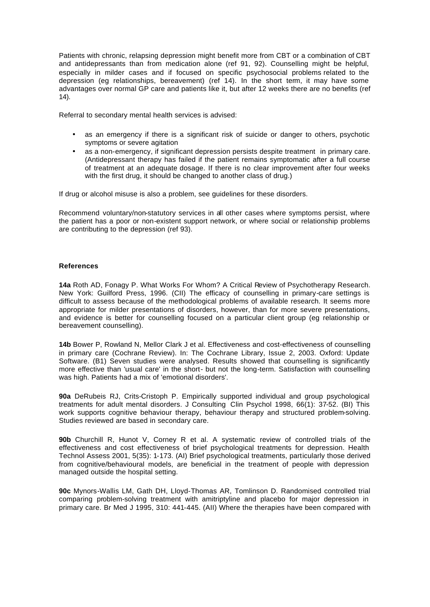Patients with chronic, relapsing depression might benefit more from CBT or a combination of CBT and antidepressants than from medication alone (ref 91, 92). Counselling might be helpful, especially in milder cases and if focused on specific psychosocial problems related to the depression (eg relationships, bereavement) (ref 14). In the short term, it may have some advantages over normal GP care and patients like it, but after 12 weeks there are no benefits (ref 14).

Referral to secondary mental health services is advised:

- as an emergency if there is a significant risk of suicide or danger to others, psychotic symptoms or severe agitation
- as a non-emergency, if significant depression persists despite treatment in primary care. (Antidepressant therapy has failed if the patient remains symptomatic after a full course of treatment at an adequate dosage. If there is no clear improvement after four weeks with the first drug, it should be changed to another class of drug.)

If drug or alcohol misuse is also a problem, see guidelines for these disorders.

Recommend voluntary/non-statutory services in all other cases where symptoms persist, where the patient has a poor or non-existent support network, or where social or relationship problems are contributing to the depression (ref 93).

#### **References**

**14a** Roth AD, Fonagy P. What Works For Whom? A Critical Review of Psychotherapy Research. New York: Guilford Press, 1996. (CII) The efficacy of counselling in primary-care settings is difficult to assess because of the methodological problems of available research. It seems more appropriate for milder presentations of disorders, however, than for more severe presentations, and evidence is better for counselling focused on a particular client group (eg relationship or bereavement counselling).

**14b** Bower P, Rowland N, Mellor Clark J et al. Effectiveness and cost-effectiveness of counselling in primary care (Cochrane Review). In: The Cochrane Library, Issue 2, 2003. Oxford: Update Software. (B1) Seven studies were analysed. Results showed that counselling is significantly more effective than 'usual care' in the short- but not the long-term. Satisfaction with counselling was high. Patients had a mix of 'emotional disorders'.

**90a** DeRubeis RJ, Crits-Cristoph P. Empirically supported individual and group psychological treatments for adult mental disorders. J Consulting Clin Psychol 1998, 66(1): 37-52. (BI) This work supports cognitive behaviour therapy, behaviour therapy and structured problem-solving. Studies reviewed are based in secondary care.

**90b** Churchill R, Hunot V, Corney R et al. A systematic review of controlled trials of the effectiveness and cost effectiveness of brief psychological treatments for depression. Health Technol Assess 2001, 5(35): 1-173. (AI) Brief psychological treatments, particularly those derived from cognitive/behavioural models, are beneficial in the treatment of people with depression managed outside the hospital setting.

**90c** Mynors-Wallis LM, Gath DH, Lloyd-Thomas AR, Tomlinson D. Randomised controlled trial comparing problem-solving treatment with amitriptyline and placebo for major depression in primary care. Br Med J 1995, 310: 441-445. (AII) Where the therapies have been compared with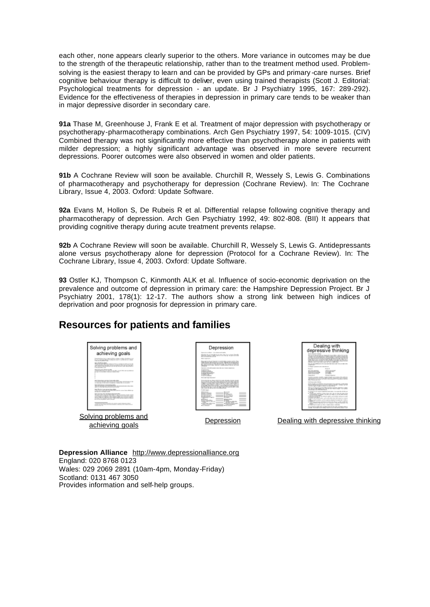each other, none appears clearly superior to the others. More variance in outcomes may be due to the strength of the therapeutic relationship, rather than to the treatment method used. Problemsolving is the easiest therapy to learn and can be provided by GPs and primary -care nurses. Brief cognitive behaviour therapy is difficult to deliver, even using trained therapists (Scott J. Editorial: Psychological treatments for depression - an update. Br J Psychiatry 1995, 167: 289-292). Evidence for the effectiveness of therapies in depression in primary care tends to be weaker than in major depressive disorder in secondary care.

**91a** Thase M, Greenhouse J, Frank E et al. Treatment of major depression with psychotherapy or psychotherapy-pharmacotherapy combinations. Arch Gen Psychiatry 1997, 54: 1009-1015. (CIV) Combined therapy was not significantly more effective than psychotherapy alone in patients with milder depression; a highly significant advantage was observed in more severe recurrent depressions. Poorer outcomes were also observed in women and older patients.

91b A Cochrane Review will soon be available. Churchill R, Wessely S, Lewis G. Combinations of pharmacotherapy and psychotherapy for depression (Cochrane Review). In: The Cochrane Library, Issue 4, 2003. Oxford: Update Software.

**92a** Evans M, Hollon S, De Rubeis R et al. Differential relapse following cognitive therapy and pharmacotherapy of depression. Arch Gen Psychiatry 1992, 49: 802-808. (BII) It appears that providing cognitive therapy during acute treatment prevents relapse.

**92b** A Cochrane Review will soon be available. Churchill R, Wessely S, Lewis G. Antidepressants alone versus psychotherapy alone for depression (Protocol for a Cochrane Review). In: The Cochrane Library, Issue 4, 2003. Oxford: Update Software.

**93** Ostler KJ, Thompson C, Kinmonth ALK et al. Influence of socio-economic deprivation on the prevalence and outcome of depression in primary care: the Hampshire Depression Project. Br J Psychiatry 2001, 178(1): 12-17. The authors show a strong link between high indices of deprivation and poor prognosis for depression in primary care.

### **Resources for patients and families**





**Depression Alliance** http://www.depressionalliance.org England: 020 8768 0123 Wales: 029 2069 2891 (10am-4pm, Monday-Friday) Scotland: 0131 467 3050 Provides information and self-help groups.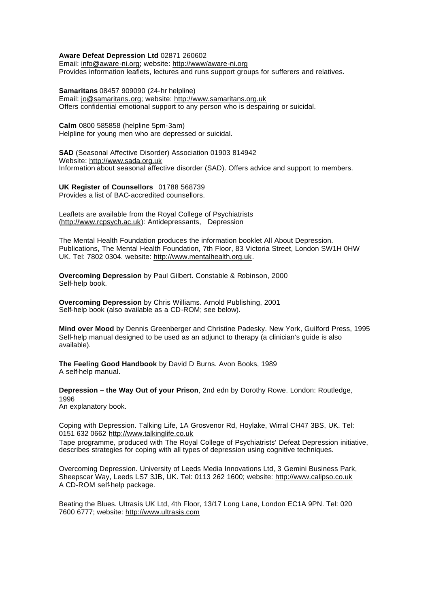#### **Aware Defeat Depression Ltd** 02871 260602

Email: info@aware-ni.org; website: http://www/aware-ni.org Provides information leaflets, lectures and runs support groups for sufferers and relatives.

**Samaritans** 08457 909090 (24-hr helpline)

Email: jo@samaritans.org; website: http://www.samaritans.org.uk Offers confidential emotional support to any person who is despairing or suicidal.

**Calm** 0800 585858 (helpline 5pm-3am) Helpline for young men who are depressed or suicidal.

**SAD** (Seasonal Affective Disorder) Association 01903 814942 Website: http://www.sada.org.uk Information about seasonal affective disorder (SAD). Offers advice and support to members.

#### **UK Register of Counsellors** 01788 568739

Provides a list of BAC-accredited counsellors.

Leaflets are available from the Royal College of Psychiatrists (http://www.rcpsych.ac.uk): Antidepressants, Depression

The Mental Health Foundation produces the information booklet All About Depression. Publications, The Mental Health Foundation, 7th Floor, 83 Victoria Street, London SW1H 0HW UK. Tel: 7802 0304. website: http://www.mentalhealth.org.uk.

**Overcoming Depression** by Paul Gilbert. Constable & Robinson, 2000 Self-help book.

**Overcoming Depression** by Chris Williams. Arnold Publishing, 2001 Self-help book (also available as a CD-ROM; see below).

**Mind over Mood** by Dennis Greenberger and Christine Padesky. New York, Guilford Press, 1995 Self-help manual designed to be used as an adjunct to therapy (a clinician's guide is also available).

**The Feeling Good Handbook** by David D Burns. Avon Books, 1989 A self-help manual.

**Depression – the Way Out of your Prison**, 2nd edn by Dorothy Rowe. London: Routledge, 1996

An explanatory book.

Coping with Depression. Talking Life, 1A Grosvenor Rd, Hoylake, Wirral CH47 3BS, UK. Tel: 0151 632 0662 http://www.talkinglife.co.uk

Tape programme, produced with The Royal College of Psychiatrists' Defeat Depression initiative, describes strategies for coping with all types of depression using cognitive techniques.

Overcoming Depression. University of Leeds Media Innovations Ltd, 3 Gemini Business Park, Sheepscar Way, Leeds LS7 3JB, UK. Tel: 0113 262 1600; website: http://www.calipso.co.uk A CD-ROM self-help package.

Beating the Blues. Ultrasis UK Ltd, 4th Floor, 13/17 Long Lane, London EC1A 9PN. Tel: 020 7600 6777; website: http://www.ultrasis.com